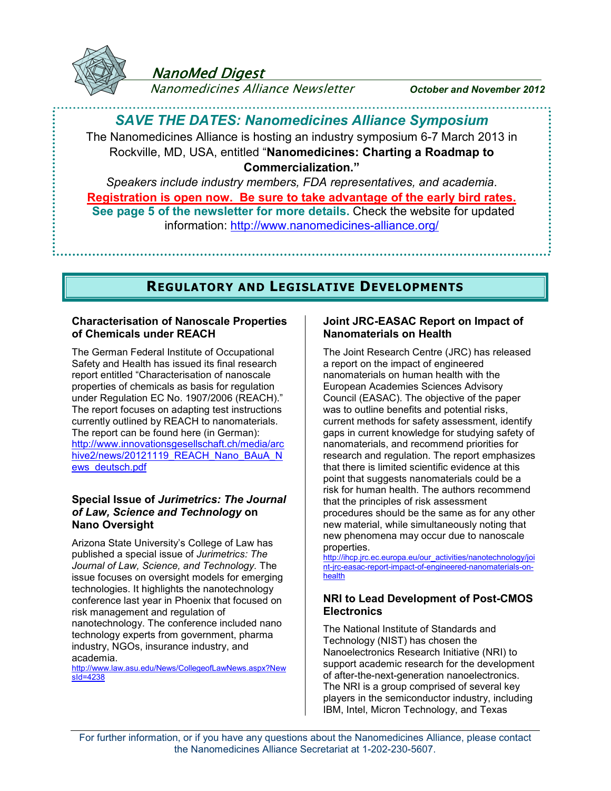

## NanoMed Digest

Nanomedicines Alliance Newsletter *October and November 2012*

### *SAVE THE DATES: Nanomedicines Alliance Symposium*

The Nanomedicines Alliance is hosting an industry symposium 6-7 March 2013 in Rockville, MD, USA, entitled "**Nanomedicines: Charting a Roadmap to Commercialization."**

*Speakers include industry members, FDA representatives, and academia*. **Registration is open now. Be sure to take advantage of the early bird rates. See page 5 of the newsletter for more details.** Check the website for updated information:<http://www.nanomedicines-alliance.org/>

### **REGULATORY AND LEGISLATIVE DEVELOPMENTS**

#### **Characterisation of Nanoscale Properties of Chemicals under REACH**

The German Federal Institute of Occupational Safety and Health has issued its final research report entitled "Characterisation of nanoscale properties of chemicals as basis for regulation under Regulation EC No. 1907/2006 (REACH)." The report focuses on adapting test instructions currently outlined by REACH to nanomaterials. The report can be found here (in German): [http://www.innovationsgesellschaft.ch/media/arc](http://www.innovationsgesellschaft.ch/media/archive2/news/20121119_REACH_Nano_BAuA_News_deutsch.pdf) [hive2/news/20121119\\_REACH\\_Nano\\_BAuA\\_N](http://www.innovationsgesellschaft.ch/media/archive2/news/20121119_REACH_Nano_BAuA_News_deutsch.pdf) [ews\\_deutsch.pdf](http://www.innovationsgesellschaft.ch/media/archive2/news/20121119_REACH_Nano_BAuA_News_deutsch.pdf)

#### **Special Issue of** *Jurimetrics: The Journal of Law, Science and Technology* **on Nano Oversight**

Arizona State University's College of Law has published a special issue of *Jurimetrics: The Journal of Law, Science, and Technology.* The issue focuses on oversight models for emerging technologies. It highlights the nanotechnology conference last year in Phoenix that focused on risk management and regulation of nanotechnology. The conference included nano technology experts from government, pharma industry, NGOs, insurance industry, and academia.

[http://www.law.asu.edu/News/CollegeofLawNews.aspx?New](http://www.law.asu.edu/News/CollegeofLawNews.aspx?NewsId=4238) [sId=4238](http://www.law.asu.edu/News/CollegeofLawNews.aspx?NewsId=4238)

#### **Joint JRC-EASAC Report on Impact of Nanomaterials on Health**

The Joint Research Centre (JRC) has released a report on the impact of engineered nanomaterials on human health with the European Academies Sciences Advisory Council (EASAC). The objective of the paper was to outline benefits and potential risks, current methods for safety assessment, identify gaps in current knowledge for studying safety of nanomaterials, and recommend priorities for research and regulation. The report emphasizes that there is limited scientific evidence at this point that suggests nanomaterials could be a risk for human health. The authors recommend that the principles of risk assessment procedures should be the same as for any other new material, while simultaneously noting that new phenomena may occur due to nanoscale properties.

[http://ihcp.jrc.ec.europa.eu/our\\_activities/nanotechnology/joi](http://ihcp.jrc.ec.europa.eu/our_activities/nanotechnology/joint-jrc-easac-report-impact-of-engineered-nanomaterials-on-health) [nt-jrc-easac-report-impact-of-engineered-nanomaterials-on](http://ihcp.jrc.ec.europa.eu/our_activities/nanotechnology/joint-jrc-easac-report-impact-of-engineered-nanomaterials-on-health)[health](http://ihcp.jrc.ec.europa.eu/our_activities/nanotechnology/joint-jrc-easac-report-impact-of-engineered-nanomaterials-on-health)

#### **NRI to Lead Development of Post-CMOS Electronics**

The National Institute of Standards and Technology (NIST) has chosen the Nanoelectronics Research Initiative (NRI) to support academic research for the development of after-the-next-generation nanoelectronics. The NRI is a group comprised of several key players in the semiconductor industry, including IBM, Intel, Micron Technology, and Texas

For further information, or if you have any questions about the Nanomedicines Alliance, please contact the Nanomedicines Alliance Secretariat at 1-202-230-5607.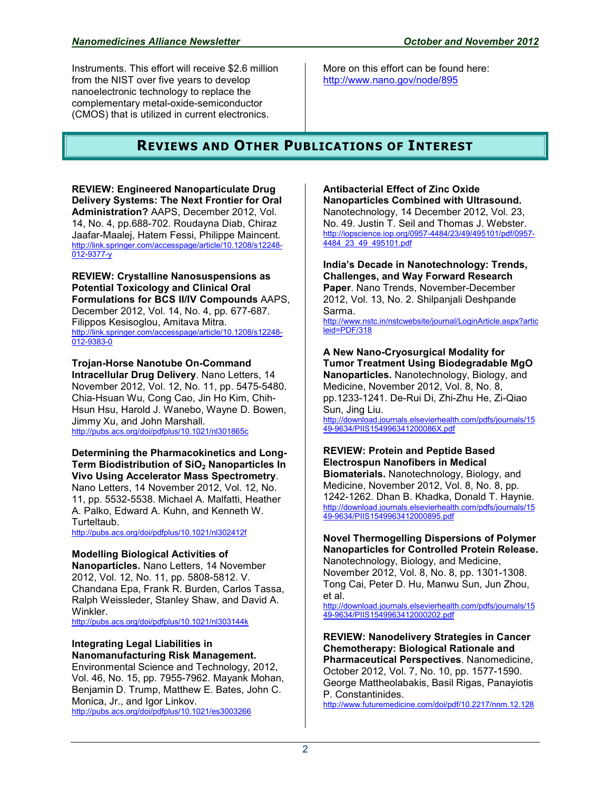Instruments. This effort will receive \$2.6 million from the NIST over five years to develop nanoelectronic technology to replace the complementary metal-oxide-semiconductor (CMOS) that is utilized in current electronics.

More on this effort can be found here: <http://www.nano.gov/node/895>

## **REVIEWS AND OTHER PUBLICATIONS OF INTEREST**

**REVIEW: Engineered Nanoparticulate Drug Delivery Systems: The Next Frontier for Oral Administration?** AAPS, December 2012, Vol. 14, No. 4, pp.688-702. Roudayna Diab, Chiraz Jaafar-Maalej, Hatem Fessi, Philippe Maincent. [http://link.springer.com/accesspage/article/10.1208/s12248-](http://link.springer.com/accesspage/article/10.1208/s12248-012-9377-y) [012-9377-y](http://link.springer.com/accesspage/article/10.1208/s12248-012-9377-y)

**REVIEW: Crystalline Nanosuspensions as Potential Toxicology and Clinical Oral Formulations for BCS II/IV Compounds** AAPS, December 2012, Vol. 14, No. 4, pp. 677-687. Filippos Kesisoglou, Amitava Mitra. [http://link.springer.com/accesspage/article/10.1208/s12248-](http://link.springer.com/accesspage/article/10.1208/s12248-012-9383-0) [012-9383-0](http://link.springer.com/accesspage/article/10.1208/s12248-012-9383-0)

**Trojan-Horse Nanotube On-Command Intracellular Drug Delivery**. Nano Letters, 14 November 2012, Vol. 12, No. 11, pp. 5475-5480. Chia-Hsuan Wu, Cong Cao, Jin Ho Kim, Chih-Hsun Hsu, Harold J. Wanebo, Wayne D. Bowen, Jimmy Xu, and John Marshall. <http://pubs.acs.org/doi/pdfplus/10.1021/nl301865c>

**Determining the Pharmacokinetics and Long-Term Biodistribution of SiO2 Nanoparticles In Vivo Using Accelerator Mass Spectrometry**. Nano Letters, 14 November 2012, Vol. 12, No. 11, pp. 5532-5538. Michael A. Malfatti, Heather A. Palko, Edward A. Kuhn, and Kenneth W. Turteltaub.

<http://pubs.acs.org/doi/pdfplus/10.1021/nl302412f>

#### **Modelling Biological Activities of**

**Nanoparticles.** Nano Letters, 14 November 2012, Vol. 12, No. 11, pp. 5808-5812. V. Chandana Epa, Frank R. Burden, Carlos Tassa, Ralph Weissleder, Stanley Shaw, and David A. Winkler.

<http://pubs.acs.org/doi/pdfplus/10.1021/nl303144k>

#### **Integrating Legal Liabilities in Nanomanufacturing Risk Management.**

Environmental Science and Technology, 2012, Vol. 46, No. 15, pp. 7955-7962. Mayank Mohan, Benjamin D. Trump, Matthew E. Bates, John C. Monica, Jr., and Igor Linkov. <http://pubs.acs.org/doi/pdfplus/10.1021/es3003266>

**Antibacterial Effect of Zinc Oxide Nanoparticles Combined with Ultrasound.** 

Nanotechnology, 14 December 2012, Vol. 23, No. 49. Justin T. Seil and Thomas J. Webster. [http://iopscience.iop.org/0957-4484/23/49/495101/pdf/0957-](http://iopscience.iop.org/0957-4484/23/49/495101/pdf/0957-4484_23_49_495101.pdf) [4484\\_23\\_49\\_495101.pdf](http://iopscience.iop.org/0957-4484/23/49/495101/pdf/0957-4484_23_49_495101.pdf)

**India's Decade in Nanotechnology: Trends, Challenges, and Way Forward Research Paper**. Nano Trends, November-December 2012, Vol. 13, No. 2. Shilpanjali Deshpande Sarma.

[http://www.nstc.in/nstcwebsite/journal/LoginArticle.aspx?artic](http://www.nstc.in/nstcwebsite/journal/LoginArticle.aspx?articleid=PDF/318) [leid=PDF/318](http://www.nstc.in/nstcwebsite/journal/LoginArticle.aspx?articleid=PDF/318)

**A New Nano-Cryosurgical Modality for Tumor Treatment Using Biodegradable MgO Nanoparticles.** Nanotechnology, Biology, and Medicine, November 2012, Vol. 8, No. 8, pp.1233-1241. De-Rui Di, Zhi-Zhu He, Zi-Qiao Sun, Jing Liu. [http://download.journals.elsevierhealth.com/pdfs/journals/15](http://download.journals.elsevierhealth.com/pdfs/journals/1549-9634/PIIS154996341200086X.pdf) [49-9634/PIIS154996341200086X.pdf](http://download.journals.elsevierhealth.com/pdfs/journals/1549-9634/PIIS154996341200086X.pdf)

**REVIEW: Protein and Peptide Based Electrospun Nanofibers in Medical Biomaterials.** Nanotechnology, Biology, and Medicine, November 2012, Vol. 8, No. 8, pp. 1242-1262. Dhan B. Khadka, Donald T. Haynie. [http://download.journals.elsevierhealth.com/pdfs/journals/15](http://download.journals.elsevierhealth.com/pdfs/journals/1549-9634/PIIS1549963412000895.pdf)

[49-9634/PIIS1549963412000895.pdf](http://download.journals.elsevierhealth.com/pdfs/journals/1549-9634/PIIS1549963412000895.pdf)

**Novel Thermogelling Dispersions of Polymer Nanoparticles for Controlled Protein Release.**  Nanotechnology, Biology, and Medicine, November 2012, Vol. 8, No. 8, pp. 1301-1308. Tong Cai, Peter D. Hu, Manwu Sun, Jun Zhou, et al.

[http://download.journals.elsevierhealth.com/pdfs/journals/15](http://download.journals.elsevierhealth.com/pdfs/journals/1549-9634/PIIS1549963412000202.pdf) [49-9634/PIIS1549963412000202.pdf](http://download.journals.elsevierhealth.com/pdfs/journals/1549-9634/PIIS1549963412000202.pdf)

**REVIEW: Nanodelivery Strategies in Cancer Chemotherapy: Biological Rationale and Pharmaceutical Perspectives**. Nanomedicine, October 2012, Vol. 7, No. 10, pp. 1577-1590. George Mattheolabakis, Basil Rigas, Panayiotis P. Constantinides.

<http://www.futuremedicine.com/doi/pdf/10.2217/nnm.12.128>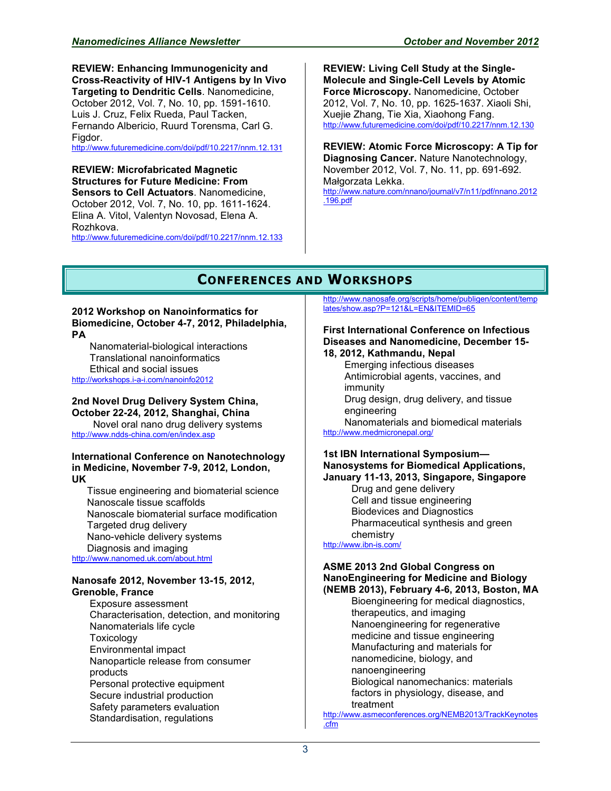**REVIEW: Enhancing Immunogenicity and Cross-Reactivity of HIV-1 Antigens by In Vivo Targeting to Dendritic Cells**. Nanomedicine, October 2012, Vol. 7, No. 10, pp. 1591-1610. Luis J. Cruz, Felix Rueda, Paul Tacken, Fernando Albericio, Ruurd Torensma, Carl G. Figdor.

<http://www.futuremedicine.com/doi/pdf/10.2217/nnm.12.131>

#### **REVIEW: Microfabricated Magnetic Structures for Future Medicine: From Sensors to Cell Actuators**. Nanomedicine, October 2012, Vol. 7, No. 10, pp. 1611-1624. Elina A. Vitol, Valentyn Novosad, Elena A. Rozhkova.

<http://www.futuremedicine.com/doi/pdf/10.2217/nnm.12.133>

**REVIEW: Living Cell Study at the Single-Molecule and Single-Cell Levels by Atomic Force Microscopy.** Nanomedicine, October 2012, Vol. 7, No. 10, pp. 1625-1637. Xiaoli Shi, Xuejie Zhang, Tie Xia, Xiaohong Fang. <http://www.futuremedicine.com/doi/pdf/10.2217/nnm.12.130>

**REVIEW: Atomic Force Microscopy: A Tip for Diagnosing Cancer.** Nature Nanotechnology, November 2012, Vol. 7, No. 11, pp. 691-692. Małgorzata Lekka. [http://www.nature.com/nnano/journal/v7/n11/pdf/nnano.2012](http://www.nature.com/nnano/journal/v7/n11/pdf/nnano.2012.196.pdf) [.196.pdf](http://www.nature.com/nnano/journal/v7/n11/pdf/nnano.2012.196.pdf)

## **CONFERENCES AND WORKSHOPS**

#### **2012 Workshop on Nanoinformatics for Biomedicine, October 4-7, 2012, Philadelphia, PA**

Nanomaterial-biological interactions Translational nanoinformatics Ethical and social issues <http://workshops.i-a-i.com/nanoinfo2012>

#### **2nd Novel Drug Delivery System China, October 22-24, 2012, Shanghai, China**

Novel oral nano drug delivery systems <http://www.ndds-china.com/en/index.asp>

#### **International Conference on Nanotechnology in Medicine, November 7-9, 2012, London, UK**

Tissue engineering and biomaterial science Nanoscale tissue scaffolds Nanoscale biomaterial surface modification Targeted drug delivery Nano-vehicle delivery systems Diagnosis and imaging <http://www.nanomed.uk.com/about.html>

#### **Nanosafe 2012, November 13-15, 2012, Grenoble, France**

Exposure assessment Characterisation, detection, and monitoring Nanomaterials life cycle **Toxicology** Environmental impact Nanoparticle release from consumer products Personal protective equipment Secure industrial production Safety parameters evaluation Standardisation, regulations

[http://www.nanosafe.org/scripts/home/publigen/content/temp](http://www.nanosafe.org/scripts/home/publigen/content/templates/show.asp?P=121&L=EN&ITEMID=65) [lates/show.asp?P=121&L=EN&ITEMID=65](http://www.nanosafe.org/scripts/home/publigen/content/templates/show.asp?P=121&L=EN&ITEMID=65)

#### **First International Conference on Infectious Diseases and Nanomedicine, December 15- 18, 2012, Kathmandu, Nepal**

Emerging infectious diseases Antimicrobial agents, vaccines, and immunity Drug design, drug delivery, and tissue engineering Nanomaterials and biomedical materials

<http://www.medmicronepal.org/>

#### **1st IBN International Symposium— Nanosystems for Biomedical Applications, January 11-13, 2013, Singapore, Singapore**

Drug and gene delivery Cell and tissue engineering Biodevices and Diagnostics Pharmaceutical synthesis and green chemistry

<http://www.ibn-is.com/>

#### **ASME 2013 2nd Global Congress on NanoEngineering for Medicine and Biology (NEMB 2013), February 4-6, 2013, Boston, MA**

Bioengineering for medical diagnostics, therapeutics, and imaging Nanoengineering for regenerative medicine and tissue engineering Manufacturing and materials for nanomedicine, biology, and nanoengineering Biological nanomechanics: materials factors in physiology, disease, and treatment

[http://www.asmeconferences.org/NEMB2013/TrackKeynotes](http://www.asmeconferences.org/NEMB2013/TrackKeynotes.cfm) [.cfm](http://www.asmeconferences.org/NEMB2013/TrackKeynotes.cfm)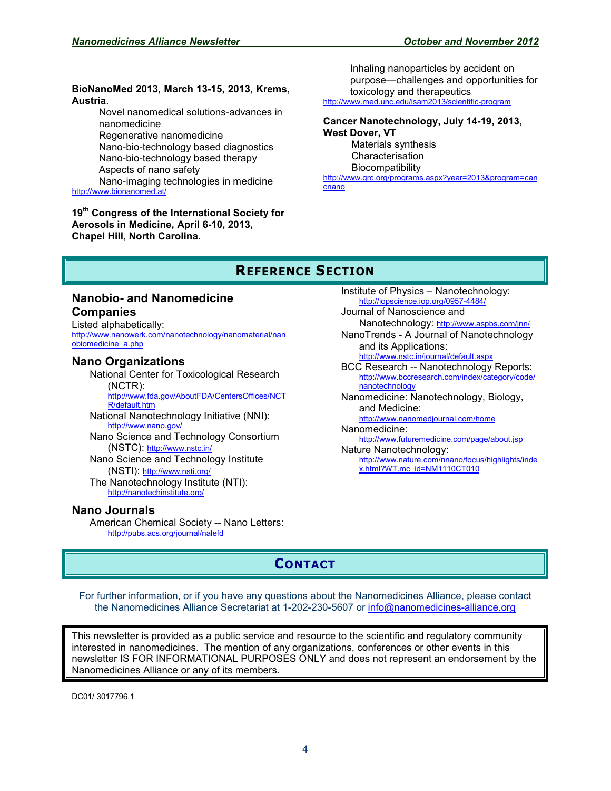#### **BioNanoMed 2013, March 13-15, 2013, Krems, Austria**.

Novel nanomedical solutions-advances in nanomedicine

Regenerative nanomedicine Nano-bio-technology based diagnostics Nano-bio-technology based therapy Aspects of nano safety

Nano-imaging technologies in medicine <http://www.bionanomed.at/>

**19th Congress of the International Society for Aerosols in Medicine, April 6-10, 2013, Chapel Hill, North Carolina.** 

Inhaling nanoparticles by accident on purpose—challenges and opportunities for toxicology and therapeutics <http://www.med.unc.edu/isam2013/scientific-program>

#### **Cancer Nanotechnology, July 14-19, 2013, West Dover, VT** Materials synthesis

Characterisation Biocompatibility

[http://www.grc.org/programs.aspx?year=2013&program=can](http://www.grc.org/programs.aspx?year=2013&program=cancnano) [cnano](http://www.grc.org/programs.aspx?year=2013&program=cancnano)

## **REFERENCE SECTION**

#### **Nanobio- and Nanomedicine Companies**

Listed alphabetically: [http://www.nanowerk.com/nanotechnology/nanomaterial/nan](http://www.nanowerk.com/nanotechnology/nanomaterial/nanobiomedicine_a.php) [obiomedicine\\_a.php](http://www.nanowerk.com/nanotechnology/nanomaterial/nanobiomedicine_a.php)

#### **Nano Organizations**

National Center for Toxicological Research (NCTR): [http://www.fda.gov/AboutFDA/CentersOffices/NCT](http://www.fda.gov/AboutFDA/CentersOffices/NCTR/default.htm) [R/default.htm](http://www.fda.gov/AboutFDA/CentersOffices/NCTR/default.htm) National Nanotechnology Initiative (NNI): <http://www.nano.gov/> Nano Science and Technology Consortium (NSTC): <http://www.nstc.in/> Nano Science and Technology Institute (NSTI): <http://www.nsti.org/> The Nanotechnology Institute (NTI): <http://nanotechinstitute.org/>

#### **Nano Journals**

American Chemical Society -- Nano Letters: <http://pubs.acs.org/journal/nalefd>

Institute of Physics – Nanotechnology: <http://iopscience.iop.org/0957-4484/> Journal of Nanoscience and Nanotechnology: <http://www.aspbs.com/jnn/> NanoTrends - A Journal of Nanotechnology and its Applications: <http://www.nstc.in/journal/default.aspx> BCC Research -- Nanotechnology Reports: [http://www.bccresearch.com/index/category/code/](http://www.bccresearch.com/index/category/code/nanotechnology) [nanotechnology](http://www.bccresearch.com/index/category/code/nanotechnology) Nanomedicine: Nanotechnology, Biology, and Medicine: <http://www.nanomedjournal.com/home> Nanomedicine: <http://www.futuremedicine.com/page/about.jsp> Nature Nanotechnology: [http://www.nature.com/nnano/focus/highlights/inde](http://www.nature.com/nnano/focus/highlights/index.html?WT.mc_id=NM1110CT010) [x.html?WT.mc\\_id=NM1110CT010](http://www.nature.com/nnano/focus/highlights/index.html?WT.mc_id=NM1110CT010) 

## **CONTACT**

For further information, or if you have any questions about the Nanomedicines Alliance, please contact the Nanomedicines Alliance Secretariat at 1-202-230-5607 or [info@nanomedicines-alliance.org](mailto:info@nanomedicines-alliance.org)

This newsletter is provided as a public service and resource to the scientific and regulatory community interested in nanomedicines. The mention of any organizations, conferences or other events in this newsletter IS FOR INFORMATIONAL PURPOSES ONLY and does not represent an endorsement by the Nanomedicines Alliance or any of its members.

DC01/ 3017796.1